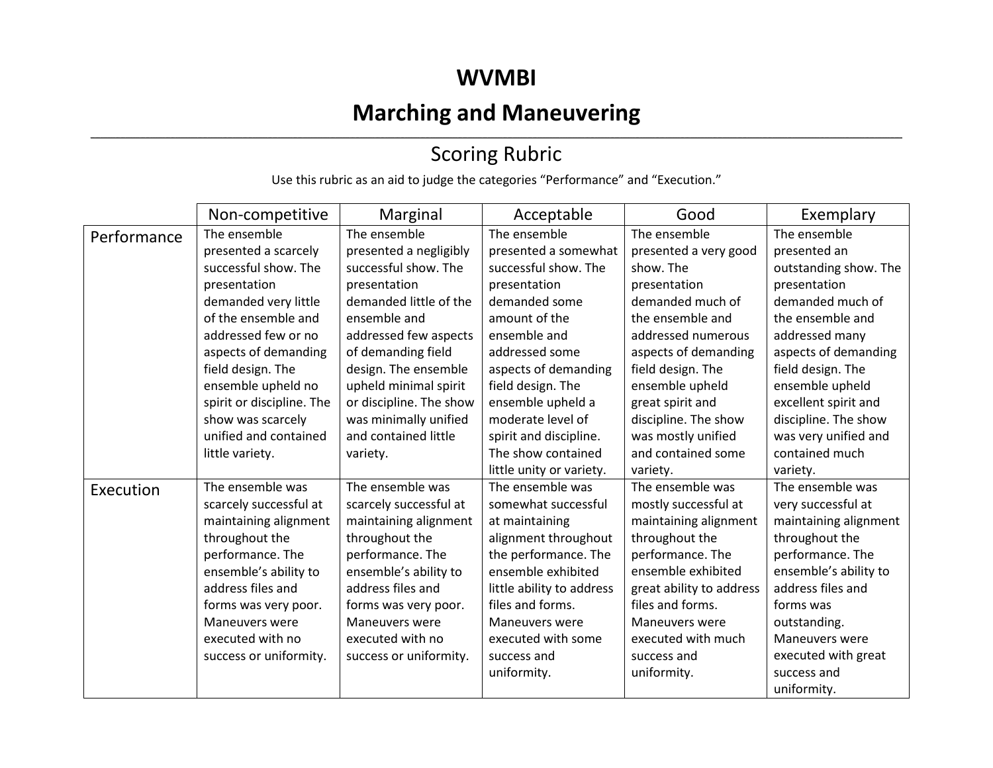### **WVMBI**

## **Marching and Maneuvering**

#### ,我们也不会不会不会。""我们的,我们也不会不会不会不会不会不会不会不会。""我们的,我们也不会不会不会不会不会不会不会不会。""我们的,我们也不会不会不会不会 Scoring Rubric

Use this rubric as an aid to judge the categories "Performance" and "Execution."

|             | Non-competitive           | Marginal                | Acceptable                | Good                     | Exemplary             |
|-------------|---------------------------|-------------------------|---------------------------|--------------------------|-----------------------|
| Performance | The ensemble              | The ensemble            | The ensemble              | The ensemble             | The ensemble          |
|             | presented a scarcely      | presented a negligibly  | presented a somewhat      | presented a very good    | presented an          |
|             | successful show. The      | successful show. The    | successful show. The      | show. The                | outstanding show. The |
|             | presentation              | presentation            | presentation              | presentation             | presentation          |
|             | demanded very little      | demanded little of the  | demanded some             | demanded much of         | demanded much of      |
|             | of the ensemble and       | ensemble and            | amount of the             | the ensemble and         | the ensemble and      |
|             | addressed few or no       | addressed few aspects   | ensemble and              | addressed numerous       | addressed many        |
|             | aspects of demanding      | of demanding field      | addressed some            | aspects of demanding     | aspects of demanding  |
|             | field design. The         | design. The ensemble    | aspects of demanding      | field design. The        | field design. The     |
|             | ensemble upheld no        | upheld minimal spirit   | field design. The         | ensemble upheld          | ensemble upheld       |
|             | spirit or discipline. The | or discipline. The show | ensemble upheld a         | great spirit and         | excellent spirit and  |
|             | show was scarcely         | was minimally unified   | moderate level of         | discipline. The show     | discipline. The show  |
|             | unified and contained     | and contained little    | spirit and discipline.    | was mostly unified       | was very unified and  |
|             | little variety.           | variety.                | The show contained        | and contained some       | contained much        |
|             |                           |                         | little unity or variety.  | variety.                 | variety.              |
| Execution   | The ensemble was          | The ensemble was        | The ensemble was          | The ensemble was         | The ensemble was      |
|             | scarcely successful at    | scarcely successful at  | somewhat successful       | mostly successful at     | very successful at    |
|             | maintaining alignment     | maintaining alignment   | at maintaining            | maintaining alignment    | maintaining alignment |
|             | throughout the            | throughout the          | alignment throughout      | throughout the           | throughout the        |
|             | performance. The          | performance. The        | the performance. The      | performance. The         | performance. The      |
|             | ensemble's ability to     | ensemble's ability to   | ensemble exhibited        | ensemble exhibited       | ensemble's ability to |
|             | address files and         | address files and       | little ability to address | great ability to address | address files and     |
|             | forms was very poor.      | forms was very poor.    | files and forms.          | files and forms.         | forms was             |
|             | Maneuvers were            | <b>Maneuvers were</b>   | Maneuvers were            | Maneuvers were           | outstanding.          |
|             | executed with no          | executed with no        | executed with some        | executed with much       | <b>Maneuvers were</b> |
|             | success or uniformity.    | success or uniformity.  | success and               | success and              | executed with great   |
|             |                           |                         | uniformity.               | uniformity.              | success and           |
|             |                           |                         |                           |                          | uniformity.           |